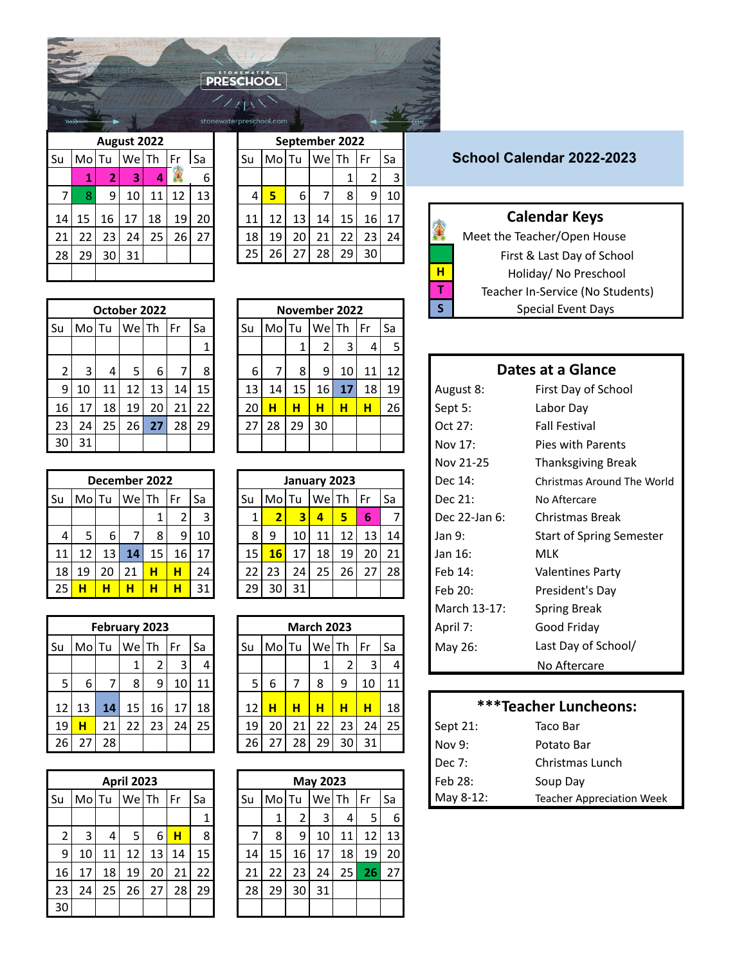| <b>PRESCHOOL</b> |  |
|------------------|--|
|                  |  |
|                  |  |

|                             |   |                 |                 |    | September 2022  |                 |       |    |    |          |    |                 | August 2022     |       |    |
|-----------------------------|---|-----------------|-----------------|----|-----------------|-----------------|-------|----|----|----------|----|-----------------|-----------------|-------|----|
| School Calendar 2022-202    |   | Sa              | Fr              |    | WelTh           |                 | MolTu | Su |    | Sa<br>Fr |    | $We$ Th $\vert$ |                 | MolTu | Su |
|                             |   |                 |                 |    |                 |                 |       |    | 6  |          | 4  | 3               |                 |       |    |
|                             |   | 10 <sub>l</sub> | $\overline{9}$  | 8  |                 | 6               | 5     |    | 13 | 12       | 11 | 10              | 9               |       |    |
| <b>Calendar Keys</b>        |   | 17              | 16              | 15 | 14 <sup>1</sup> | 13 <sub>1</sub> | 12    | 11 | 20 | 19       | 18 | 17              | 16              | 15    | 14 |
| Meet the Teacher/Open House |   | 24              | 23              | 22 | 21              | 20              | 19    | 18 | 27 | 26       | 25 | 24              | 23              | 22    | 21 |
| First & Last Day of Schoo   |   |                 | 30 <sup>1</sup> | 29 | 28              | 27              | 26    | 25 |    |          |    | 31              | 30 <sup>1</sup> | 29    | 28 |
| Holiday/ No Preschool       | н |                 |                 |    |                 |                 |       |    |    |          |    |                 |                 |       |    |

|                |       |    | October 2022 |    |      |    |    |       |    | November 2022 |    |    |            |
|----------------|-------|----|--------------|----|------|----|----|-------|----|---------------|----|----|------------|
| Su             | MolTu |    | WelTh        |    | l Fr | Sa | Su | MolTu |    | WelTh         |    | Fr | Sa         |
|                |       |    |              |    |      | 1  |    |       | 1  | 2             | 3  | 4  | 5          |
| $\overline{2}$ | 3     | 4  | 5            | 6  | 7    | 8  | 6  |       | 8  | 9             | 10 | 11 | 12         |
| 9              | 10    | 11 | 12           | 13 | 14   | 15 | 13 | 14    | 15 | 16            | 17 | 18 | <u> 19</u> |
| 16             | 17    | 18 | 19           | 20 | 21   | 22 | 20 | н     | н  | н             | н  | н  | 26         |
| 23             | 24    | 25 | 26           | 27 | 28   | 29 | 27 | 28    | 29 | 30            |    |    |            |
| 30             | 31    |    |              |    |      |    |    |       |    |               |    |    |            |

|    |       |    | December 2022 |    |    |    |
|----|-------|----|---------------|----|----|----|
| Su | Mo Tu |    | WeTh          |    | Fr | Sa |
|    |       |    |               | 1  | 2  | 3  |
| 4  | 5     | 6  | 7             | 8  | 9  | 10 |
| 11 | 12    | 13 | 14            | 15 | 16 | 17 |
| 18 | 19    | 20 | 21            | н  | н  | 24 |
| 25 | н     | н  | н             | н  | н  | 31 |

|    |       |    | February 2023 |    |    |    |
|----|-------|----|---------------|----|----|----|
| Su | MolTu |    | WelTh         |    | Fr | Sa |
|    |       |    | 1             | 2  | 3  | 4  |
| 5  | 6     |    | 8             | 9  | 10 | 11 |
| 12 | 13    | 14 | 15            | 16 | 17 | 18 |
| 19 | н     | 21 | 22            | 23 | 24 | 25 |
| 26 | 27    | 28 |               |    |    |    |

|                |       |    | <b>April 2023</b> |    |      |    |    |       |    | May 20 |
|----------------|-------|----|-------------------|----|------|----|----|-------|----|--------|
| Su             | MolTu |    | We Th             |    | l Fr | Sa | Su | MolTu |    | We     |
|                |       |    |                   |    |      | 1  |    | 1     | 2  | 3      |
| $\overline{2}$ | 3     | 4  | 5                 | 6  | н    | 8  | 7  | 8     | 9  | 10     |
| 9              | 10    | 11 | 12                | 13 | 14   | 15 | 14 | 15    | 16 | 17     |
| 16             | 17    | 18 | 19                | 20 | 21   | 22 | 21 | 22    | 23 | 24     |
| 23             | 24    | 25 | 26                | 27 | 28   | 29 | 28 | 29    | 30 | 31     |
| 30             |       |    |                   |    |      |    |    |       |    |        |

| $\overline{\ast}$ |     |                |             |    |    |    | stonewaterpreschool.com |       |    |                |    |    |    |
|-------------------|-----|----------------|-------------|----|----|----|-------------------------|-------|----|----------------|----|----|----|
|                   |     |                | August 2022 |    |    |    |                         |       |    | September 2022 |    |    |    |
|                   | Mol | Tu             | Wel         | Th | Fr | Sa | Su                      | MolTu |    | Wel            | Th | Fr | Sa |
|                   | 1   | $\overline{2}$ | 3           | 4  |    | 6  |                         |       |    |                | 1  | 2  | 3  |
| 7                 | 8   | ٩              | 10          | 11 | 12 | 13 | 4                       | 5     | 6  | 7              | 8  | 9  | 10 |
| 4                 | 15  | 16             | 17          | 18 | 19 | 20 | 11                      | 12    | 13 | 14             | 15 | 16 | 17 |
| 1                 | 22  | 23             | 24          | 25 | 26 | 27 | 18                      | 19    | 20 | 21             | 22 | 23 | 24 |
| 8                 | 29  | 30             | 31          |    |    |    | 25                      | 26    | 27 | 28             | 29 | 30 |    |
|                   |     |                |             |    |    |    |                         |       |    |                |    |    |    |

| Special Event Days   |           |    |      |    | November 2022 |    |       |                 |                                    | October 2022 |       |    |       |                 |
|----------------------|-----------|----|------|----|---------------|----|-------|-----------------|------------------------------------|--------------|-------|----|-------|-----------------|
|                      |           | Sa | l Fr |    | WelTh         |    | MolTu | Su              | Fr<br>Sa                           |              | We Th |    | MolTu | ы               |
|                      |           |    | 4    |    |               |    |       |                 |                                    |              |       |    |       |                 |
| Dates at a Glance    |           | 12 | 11   | 10 | 9             | 8  |       | 6               | 8 <sub>1</sub>                     | 6            |       | 4  | 3     |                 |
| First Day of Sch     | August 8: | 19 | 18   | 17 | 16 I          | 15 | 14    | 13              | 15 <sub>l</sub><br>14 <sup>1</sup> | 13           | 12    | 11 | 10    | 9               |
| Labor Day            | Sept 5:   | 26 | н    | н  | н             | н  | н     | 20 <sup>1</sup> | 221<br>21 <sup>1</sup>             | 20           | 19    | 18 | 17    | 16              |
| <b>Fall Festival</b> | Oct 27:   |    |      |    | 30            | 29 | 28    | 27              | 29<br>28 I                         | 27           | 26    | 25 | 24    | 23              |
| Pies with Parent     | Nov 17:   |    |      |    |               |    |       |                 |                                    |              |       |    | 31    | 30 <sub>l</sub> |

|    |       | December 2022 |       |    |    |                 |    |       | January 2023            |       |    |                 |                 | Dec 14:       | Christmas Are |
|----|-------|---------------|-------|----|----|-----------------|----|-------|-------------------------|-------|----|-----------------|-----------------|---------------|---------------|
| Su | MolTu |               | We Th |    | Fr | Sa              | Su | MolTu |                         | WelTh |    | Fr              | Sa              | Dec 21:       | No Aftercare  |
|    |       |               |       |    |    | 3               |    |       | $\overline{\mathbf{3}}$ | 4     | 5  | 6               |                 | Dec 22-Jan 6: | Christmas B   |
| 4  |       | 6             |       | 8  | 9. | 10 l            | 8  | 9     | 10                      | 11    | 12 | 13 <sub>1</sub> | 14 <sub>1</sub> | Jan 9:        | Start of Spri |
|    |       | 13            | 14    | 15 | 16 | 17 <sup>1</sup> | 15 | 16    | 17                      | 18    | 19 | 20 l            | 21              | Jan 16:       | <b>MLK</b>    |
| 18 | 19    | 20            | 21    | н  |    | 24              | 22 | 23    | 24                      | 25    | 26 | 27              | 28              | Feb 14:       | Valentines P  |
| 25 | н     | н             | н     | н  |    | 31              | 29 | 30    | 31                      |       |    |                 |                 | Feb 20:       | President's I |

| $2P$ , $11P$     | .        |   |          |    |                   |    |       |    |    |      |      |       |               |       |      |
|------------------|----------|---|----------|----|-------------------|----|-------|----|----|------|------|-------|---------------|-------|------|
| Good Frida       | April 7: |   |          |    | <b>March 2023</b> |    |       |    |    |      |      |       | February 2023 |       |      |
| Last Day of      | May 26:  |   | Fr<br>Sa |    | WelTh             |    | MolTu | Su | Sa | l Fr |      | WelTh |               | MolTu | ٠u   |
| No Afterca       |          | 4 |          |    |                   |    |       |    | 4  |      |      |       |               |       |      |
|                  |          |   | 10<br>11 | 9  | 8                 |    | 6     |    | 11 | 10   | 9    | 8     |               | 6     |      |
| ***Teacher Luncl |          |   | 18'<br>н | н  | н                 | н  | н     | 12 | 18 | 17   | 16 I | 15    | 14            | 13    | 12 l |
| Taco Bar         | Sept 21: |   | 25<br>24 | 23 | 22                | 21 | 20    | 19 | 25 | 24   | 23   | 22    | 21            | н     | 19   |
| Potato Bar       | Nov 9:   |   | 31       | 30 | 29                | 28 | 27    | 26 |    |      |      |       | 28            | 27    | 26   |
|                  |          |   |          |    |                   |    |       |    |    |      |      |       |               |       |      |

|          |       |                                                | Fr                         | Sa                          |    | Su |    |             |            |    | l Fr              | Sa                    |
|----------|-------|------------------------------------------------|----------------------------|-----------------------------|----|----|----|-------------|------------|----|-------------------|-----------------------|
|          |       |                                                |                            | 1                           |    |    |    |             | 3          | 4  | 5                 | 6                     |
| 3        | 5     | 6                                              | н                          | 8                           |    |    |    | 9           | 10         | 11 |                   | 13 <sup>1</sup>       |
| 10       | 12    |                                                | 14                         | 15                          |    |    | 15 | 16          | 17         | 18 | 19                | 20 <sub>1</sub>       |
| 16<br>17 | 19    |                                                | 21                         | 22                          |    | 21 | 22 | 23          | 24         | 25 |                   | 27                    |
| 23<br>24 | 26    |                                                |                            | 29                          |    |    | 29 | 30          | 31         |    |                   |                       |
| 30       |       |                                                |                            |                             |    |    |    |             |            |    |                   |                       |
|          | Mo Tu | 4<br>11 <sup>1</sup><br>18 <sup>1</sup><br>251 | <b>April 2023</b><br>WelTh | 13 <sup>1</sup><br>20<br>27 | 28 |    |    | 14  <br>281 | MolTu<br>8 |    | May 2023<br>We Th | 12<br>26 <sub>1</sub> |

## School Calendar 2022-2023

## **Calendar Keys**<br>
<sup>1</sup> the Teacher/Open Ho

|    |         | October 2022    |       |      |        |      |    | November 2022 |            |              |      |  |    | Special Event Days               |
|----|---------|-----------------|-------|------|--------|------|----|---------------|------------|--------------|------|--|----|----------------------------------|
|    |         |                 |       |      |        |      |    |               |            |              |      |  | Г. | Teacher In-Service (No Students) |
|    |         |                 |       |      |        |      |    |               |            |              |      |  | н  | Holiday/ No Preschool            |
| 28 | າ໑      | 30 <sub>1</sub> | 31    |      |        | 25   |    |               | 28         | 29           | 30 l |  |    | First & Last Day of School       |
|    | 21   22 | -231            | -24 I | -251 | 261271 | 18 I | 19 | 201           | <b>211</b> | -221 231 241 |      |  |    | Meet the Teacher/Open House      |

## **Dates at a Glance**

| 9  | 10    | 11              | 12              | 13 | 14 | 15 |  | 13 <sup>1</sup>   | 14              | 15 | 16 <sup>1</sup> | 17 | 18        | 19                        | August 8:     | First Day of School             |
|----|-------|-----------------|-----------------|----|----|----|--|-------------------|-----------------|----|-----------------|----|-----------|---------------------------|---------------|---------------------------------|
| 16 | 17    | 18 <sup>1</sup> | 19              | 20 | 21 | 22 |  | 20                | H               | н  | н               | н  | н         | 26 <sub>l</sub>           | Sept 5:       | Labor Day                       |
| 23 | 24    | 25 <sub>1</sub> | 26 <sub>1</sub> | 27 | 28 | 29 |  | 27                | 28              | 29 | 30              |    |           |                           | Oct 27:       | <b>Fall Festival</b>            |
| 30 | 31    |                 |                 |    |    |    |  |                   |                 |    |                 |    |           |                           | Nov 17:       | Pies with Parents               |
|    |       |                 |                 |    |    |    |  |                   |                 |    |                 |    | Nov 21-25 | <b>Thanksgiving Break</b> |               |                                 |
|    |       | December 2022   |                 |    |    |    |  | January 2023      |                 |    |                 |    |           |                           | Dec 14:       | Christmas Around The World      |
| Su | Mol   | Tu              | WelTh           |    | Fr | Sa |  | Su                | Mo Tu           |    | WelTh           |    | Fr        | Sa                        | Dec 21:       | No Aftercare                    |
|    |       |                 |                 |    | 2  | 3  |  |                   | 2               | 3  | $\overline{4}$  | 5  | 6         | 7                         | Dec 22-Jan 6: | Christmas Break                 |
| 4  | 5     | 6               | 7               | 8  | 9  | 10 |  | 8                 | 9               | 10 | 11              | 12 | 13        | 14 <sup>1</sup>           | Jan 9:        | <b>Start of Spring Semester</b> |
| 11 | 12    | 13              | 14              | 15 | 16 | 17 |  | 15                | 16              | 17 | 18              | 19 | 20        | 21                        | Jan 16:       | <b>MLK</b>                      |
| 18 | 19    | 20              | 21              | н  | н  | 24 |  | 22                | 23              | 24 | 25              | 26 | 27        | 28                        | Feb 14:       | <b>Valentines Party</b>         |
| 25 | н     | н               | н               | н  | H  | 31 |  | 29                | 30 <sub>l</sub> | 31 |                 |    |           |                           | Feb 20:       | President's Day                 |
|    |       |                 |                 |    |    |    |  |                   |                 |    |                 |    |           |                           | March 13-17:  | <b>Spring Break</b>             |
|    |       | February 2023   |                 |    |    |    |  | <b>March 2023</b> |                 |    |                 |    |           |                           | April 7:      | Good Friday                     |
| Su | Mo Tu |                 | We Th           |    | Fr | Sa |  | Su                | Mo Tu           |    | We Th           |    | Fr        | Sa                        | May 26:       | Last Day of School/             |
|    |       |                 |                 |    | 3  | 4  |  |                   |                 |    | 1               | 2  | 3         | 4                         |               | No Aftercare                    |

## 12 13 **14** 15 16 17 18 12 **H H H H H** 18 **\*\*\*Teacher Luncheons:**

| 19              | н     |    |                   | 23 | 24 <sub>1</sub> | 25 <sub>1</sub> |  | 19       | 20  | 21 | 22 | 23 <sup>1</sup> | <b>241</b> | 25 <sub>l</sub> | Sept 21:  | Taco Bar                         |
|-----------------|-------|----|-------------------|----|-----------------|-----------------|--|----------|-----|----|----|-----------------|------------|-----------------|-----------|----------------------------------|
| 26 <sub>l</sub> |       | 28 |                   |    |                 |                 |  | 26 I     |     | 28 | 29 | 30 <sup>1</sup> | 31         |                 | Nov 9:    | Potato Bar                       |
|                 |       |    |                   |    |                 |                 |  |          |     |    |    |                 | Dec 7:     | Christmas Lunch |           |                                  |
|                 |       |    | <b>April 2023</b> |    |                 |                 |  | May 2023 |     |    |    |                 |            |                 | Feb 28:   | Soup Day                         |
| Su              | MolTu |    | We Th             |    | Fr              | Sa              |  | Su       | Mol | Tu | We | <b>Th</b>       | Fr         | Sa              | May 8-12: | <b>Teacher Appreciation Week</b> |
|                 |       |    |                   |    |                 |                 |  |          |     |    |    |                 |            |                 |           |                                  |